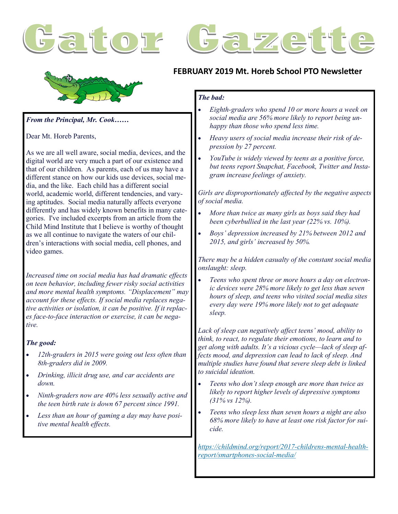





#### *From the Principal, Mr. Cook……*

Dear Mt. Horeb Parents,

As we are all well aware, social media, devices, and the digital world are very much a part of our existence and that of our children. As parents, each of us may have a different stance on how our kids use devices, social media, and the like. Each child has a different social world, academic world, different tendencies, and varying aptitudes. Social media naturally affects everyone differently and has widely known benefits in many categories. I've included excerpts from an article from the Child Mind Institute that I believe is worthy of thought as we all continue to navigate the waters of our children's interactions with social media, cell phones, and video games.

*Increased time on social media has had dramatic effects on teen behavior, including fewer risky social activities and more mental health symptoms. "Displacement" may account for these effects. If social media replaces negative activities or isolation, it can be positive. If it replaces face-to-face interaction or exercise, it can be negative.*

#### *The good:*

- *12th-graders in 2015 were going out less often than 8th-graders did in 2009.*
- *Drinking, illicit drug use, and car accidents are down.*
- *Ninth-graders now are 40% less sexually active and the teen birth rate is down 67 percent since 1991.*
- *Less than an hour of gaming a day may have positive mental health effects.*

#### **FEBRUARY 2019 Mt. Horeb School PTO Newsletter**

#### *The bad:*

- *Eighth-graders who spend 10 or more hours a week on social media are 56% more likely to report being unhappy than those who spend less time.*
- *Heavy users of social media increase their risk of depression by 27 percent.*
- *YouTube is widely viewed by teens as a positive force, but teens report Snapchat, Facebook, Twitter and Instagram increase feelings of anxiety.*

*Girls are disproportionately affected by the negative aspects of social media.*

- *More than twice as many girls as boys said they had been cyberbullied in the last year (22% vs. 10%).*
- *Boys' depression increased by 21% between 2012 and 2015, and girls' increased by 50%.*

*There may be a hidden casualty of the constant social media onslaught: sleep.*

 *Teens who spent three or more hours a day on electronic devices were 28% more likely to get less than seven hours of sleep, and teens who visited social media sites every day were 19% more likely not to get adequate sleep[.](https://childmind.org/report/2017-childrens-mental-health-report/smartphones-social-media/#_ftn9)*

*Lack of sleep can negatively affect teens' mood, ability to think, to react, to regulate their emotions, to learn and to get along with adults. It's a vicious cycle—lack of sleep affects mood, and depression can lead to lack of sleep. And multiple studies have found that severe sleep debt is linked to suicidal ideation.*

- *Teens who don't sleep enough are more than twice as likely to report higher levels of depressive symptoms (31% vs 12%).*
- *Teens who sleep less than seven hours a night are also 68% more likely to have at least one risk factor for suicide.*

*https://childmind.org/report/2017-childrens-mental-healthreport/smartphones-social-media/*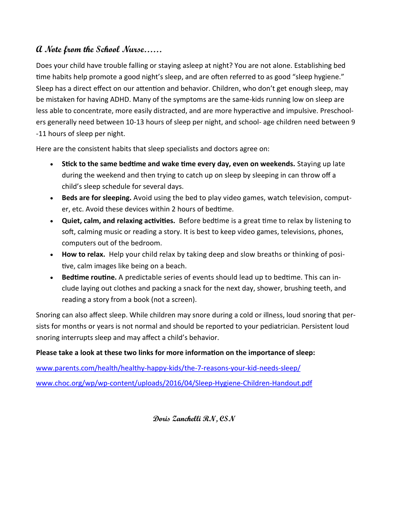#### **A Note from the School Nurse……**

Does your child have trouble falling or staying asleep at night? You are not alone. Establishing bed time habits help promote a good night's sleep, and are often referred to as good "sleep hygiene." Sleep has a direct effect on our attention and behavior. Children, who don't get enough sleep, may be mistaken for having ADHD. Many of the symptoms are the same-kids running low on sleep are less able to concentrate, more easily distracted, and are more hyperactive and impulsive. Preschoolers generally need between 10-13 hours of sleep per night, and school- age children need between 9 -11 hours of sleep per night.

Here are the consistent habits that sleep specialists and doctors agree on:

- **Stick to the same bedtime and wake time every day, even on weekends.** Staying up late during the weekend and then trying to catch up on sleep by sleeping in can throw off a child's sleep schedule for several days.
- **Beds are for sleeping.** Avoid using the bed to play video games, watch television, computer, etc. Avoid these devices within 2 hours of bedtime.
- **Quiet, calm, and relaxing activities.** Before bedtime is a great time to relax by listening to soft, calming music or reading a story. It is best to keep video games, televisions, phones, computers out of the bedroom.
- **How to relax.** Help your child relax by taking deep and slow breaths or thinking of positive, calm images like being on a beach.
- **Bedtime routine.** A predictable series of events should lead up to bedtime. This can include laying out clothes and packing a snack for the next day, shower, brushing teeth, and reading a story from a book (not a screen).

Snoring can also affect sleep. While children may snore during a cold or illness, loud snoring that persists for months or years is not normal and should be reported to your pediatrician. Persistent loud snoring interrupts sleep and may affect a child's behavior.

#### **Please take a look at these two links for more information on the importance of sleep:**

[www.parents.com/health/healthy](http://www.parents.com/health/healthy-happy-kids/the-7-reasons-your-kid-needs-sleep/)-happy-kids/the-7-reasons-your-kid-needs-sleep/

www.choc.org/wp/wp-[content/uploads/2016/04/Sleep](http://www.choc.org/wp/wp-content/uploads/2016/04/Sleep-Hygiene-Children-Handout.pdf)-Hygiene-Children-Handout.pdf

**Doris Zanchelli RN, CSN**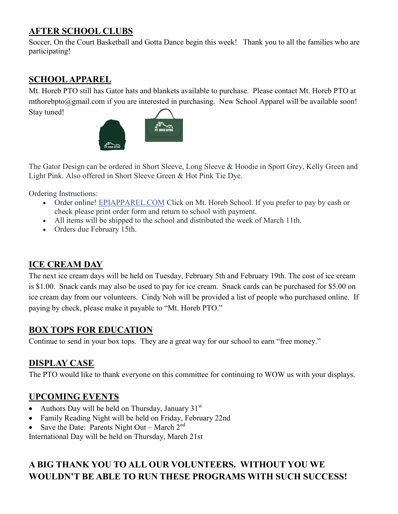## **AFTER SCHOOL CLUBS**

Soccer, On the Court Basketball and Gotta Dance begin this week! Thank you to all the families who are participating!

## **SCHOOL APPAREL**

Mt. Horeb PTO still has Gator hats and blankets available to purchase. Please contact Mt. Horeb PTO at mthorebpto@gmail.com if you are interested in purchasing. New School Apparel will be available soon! Stay tuned!

![](_page_2_Picture_4.jpeg)

The Gator Design can be ordered in Short Sleeve, Long Sleeve & Hoodie in Sport Grey, Kelly Green and Light Pink. Also offered in Short Sleeve Green & Hot Pink Tie Dye.

Ordering Instructions:

- Order online! [EPIAPPAREL.COM](https://l.facebook.com/l.php?u=http%3A%2F%2FEPIAPPAREL.COM%2F%3Ffbclid%3DIwAR2YEEbxCrXyexrTYfpaJYQHsWiq6pL2EzdEUfMyfMHg3WkVjCqdZKdwjn8&h=AT3vgxMTerO7TlsWgRH67g9s7EKx-pDzb1f9VVO6snnnVmc2_R5uss4GLvfEZ1Qn4hXlZ-_yW3skscB4RBt0f4JI0nHmwZrr4FkPmuCxYX3-dNrC9tFng_f5EQ) Click on Mt. Horeb School. If you prefer to pay by cash or check please print order form and return to school with payment.
- All items will be shipped to the school and distributed the week of March 11th.
- Orders due February 15th.

# **ICE CREAM DAY**

The next ice cream days will be held on Tuesday, February 5th and February 19th. The cost of ice cream is \$1.00. Snack cards may also be used to pay for ice cream. Snack cards can be purchased for \$5.00 on ice cream day from our volunteers. Cindy Noh will be provided a list of people who purchased online. If paying by check, please make it payable to "Mt. Horeb PTO."

### **BOX TOPS FOR EDUCATION**

Continue to send in your box tops. They are a great way for our school to earn "free money."

# **DISPLAY CASE**

The PTO would like to thank everyone on this committee for continuing to WOW us with your displays.

### **UPCOMING EVENTS**

- Authors Day will be held on Thursday, January  $31<sup>st</sup>$
- Family Reading Night will be held on Friday, February 22nd
- Save the Date: Parents Night Out March  $2<sup>nd</sup>$

International Day will be held on Thursday, March 21st

# **A BIG THANK YOU TO ALL OUR VOLUNTEERS. WITHOUT YOU WE WOULDN'T BE ABLE TO RUN THESE PROGRAMS WITH SUCH SUCCESS!**